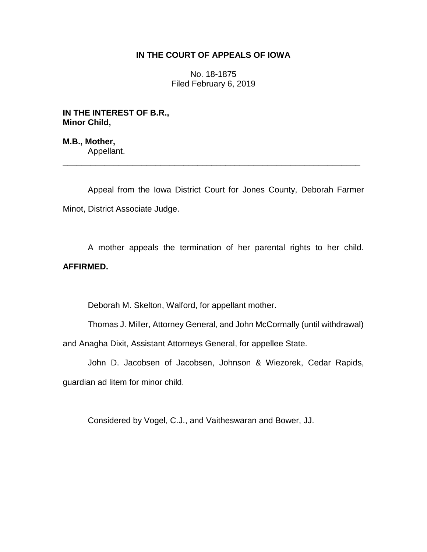## **IN THE COURT OF APPEALS OF IOWA**

No. 18-1875 Filed February 6, 2019

**IN THE INTEREST OF B.R., Minor Child,**

**M.B., Mother,** Appellant.

Appeal from the Iowa District Court for Jones County, Deborah Farmer Minot, District Associate Judge.

\_\_\_\_\_\_\_\_\_\_\_\_\_\_\_\_\_\_\_\_\_\_\_\_\_\_\_\_\_\_\_\_\_\_\_\_\_\_\_\_\_\_\_\_\_\_\_\_\_\_\_\_\_\_\_\_\_\_\_\_\_\_\_\_

A mother appeals the termination of her parental rights to her child. **AFFIRMED.**

Deborah M. Skelton, Walford, for appellant mother.

Thomas J. Miller, Attorney General, and John McCormally (until withdrawal) and Anagha Dixit, Assistant Attorneys General, for appellee State.

John D. Jacobsen of Jacobsen, Johnson & Wiezorek, Cedar Rapids, guardian ad litem for minor child.

Considered by Vogel, C.J., and Vaitheswaran and Bower, JJ.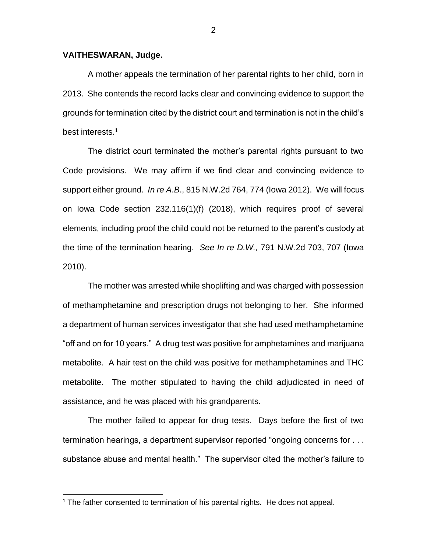## **VAITHESWARAN, Judge.**

A mother appeals the termination of her parental rights to her child, born in 2013. She contends the record lacks clear and convincing evidence to support the grounds for termination cited by the district court and termination is not in the child's best interests.<sup>1</sup>

The district court terminated the mother's parental rights pursuant to two Code provisions. We may affirm if we find clear and convincing evidence to support either ground. *In re A*.*B*., 815 N.W.2d 764, 774 (Iowa 2012). We will focus on Iowa Code section 232.116(1)(f) (2018), which requires proof of several elements, including proof the child could not be returned to the parent's custody at the time of the termination hearing. *See In re D.W.,* 791 N.W.2d 703, 707 (Iowa 2010).

The mother was arrested while shoplifting and was charged with possession of methamphetamine and prescription drugs not belonging to her. She informed a department of human services investigator that she had used methamphetamine "off and on for 10 years." A drug test was positive for amphetamines and marijuana metabolite. A hair test on the child was positive for methamphetamines and THC metabolite. The mother stipulated to having the child adjudicated in need of assistance, and he was placed with his grandparents.

The mother failed to appear for drug tests. Days before the first of two termination hearings, a department supervisor reported "ongoing concerns for . . . substance abuse and mental health." The supervisor cited the mother's failure to

 $\overline{a}$ 

 $1$  The father consented to termination of his parental rights. He does not appeal.